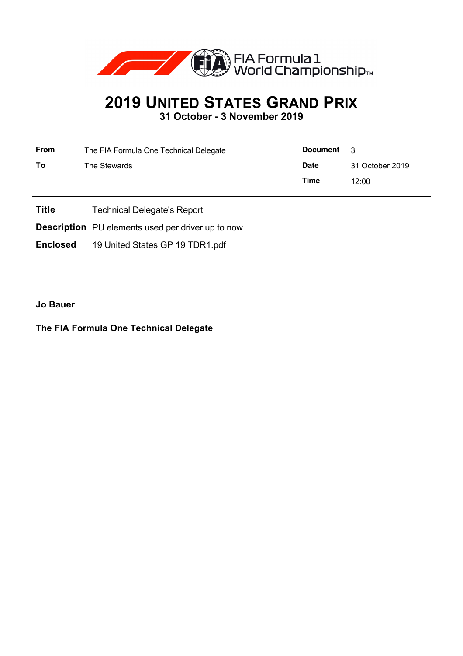

## **2019 UNITED STATES GRAND PRIX**

**31 October - 3 November 2019**

| <b>From</b> | The FIA Formula One Technical Delegate | Document    | $\mathbf{R}$    |
|-------------|----------------------------------------|-------------|-----------------|
| To          | The Stewards                           | <b>Date</b> | 31 October 2019 |
|             |                                        | Time        | 12:00           |

- **Title** Technical Delegate's Report
- **Description** PU elements used per driver up to now
- **Enclosed** 19 United States GP 19 TDR1.pdf

**Jo Bauer**

## **The FIA Formula One Technical Delegate**